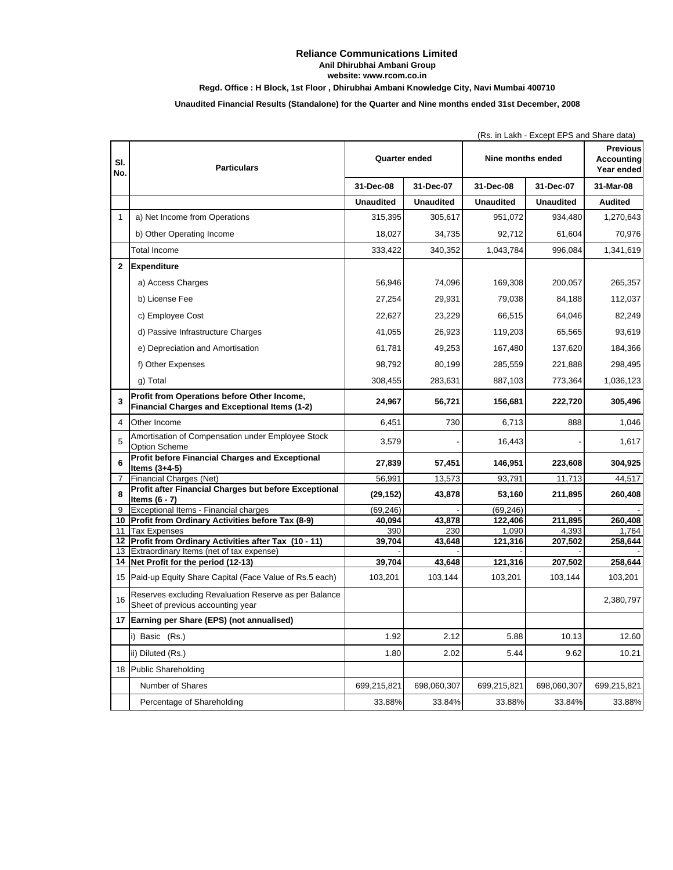## **Reliance Communications Limited Anil Dhirubhai Ambani Group website: www.rcom.co.in**

**Regd. Office : H Block, 1st Floor , Dhirubhai Ambani Knowledge City, Navi Mumbai 400710**

## **Unaudited Financial Results (Standalone) for the Quarter and Nine months ended 31st December, 2008**

|              |                                                                                              | (Rs. in Lakh - Except EPS and Share data) |                  |                   |                  |                                             |  |
|--------------|----------------------------------------------------------------------------------------------|-------------------------------------------|------------------|-------------------|------------------|---------------------------------------------|--|
| SI.<br>No.   | <b>Particulars</b>                                                                           | Quarter ended                             |                  | Nine months ended |                  | <b>Previous</b><br>Accounting<br>Year ended |  |
|              |                                                                                              | 31-Dec-08                                 | 31-Dec-07        | 31-Dec-08         | 31-Dec-07        | 31-Mar-08                                   |  |
|              |                                                                                              | <b>Unaudited</b>                          | <b>Unaudited</b> | <b>Unaudited</b>  | <b>Unaudited</b> | <b>Audited</b>                              |  |
| $\mathbf{1}$ | a) Net Income from Operations                                                                | 315,395                                   | 305,617          | 951,072           | 934,480          | 1,270,643                                   |  |
|              | b) Other Operating Income                                                                    | 18,027                                    | 34,735           | 92,712            | 61,604           | 70,976                                      |  |
|              | Total Income                                                                                 | 333,422                                   | 340,352          | 1,043,784         | 996,084          | 1,341,619                                   |  |
| $\mathbf{2}$ | <b>Expenditure</b>                                                                           |                                           |                  |                   |                  |                                             |  |
|              | a) Access Charges                                                                            | 56,946                                    | 74,096           | 169,308           | 200,057          | 265,357                                     |  |
|              | b) License Fee                                                                               | 27,254                                    | 29,931           | 79,038            | 84,188           | 112,037                                     |  |
|              | c) Employee Cost                                                                             | 22,627                                    | 23,229           | 66,515            | 64,046           | 82,249                                      |  |
|              |                                                                                              |                                           |                  |                   |                  |                                             |  |
|              | d) Passive Infrastructure Charges                                                            | 41,055                                    | 26,923           | 119,203           | 65,565           | 93,619                                      |  |
|              | e) Depreciation and Amortisation                                                             | 61,781                                    | 49,253           | 167,480           | 137,620          | 184,366                                     |  |
|              | f) Other Expenses                                                                            | 98,792                                    | 80,199           | 285,559           | 221,888          | 298,495                                     |  |
|              | g) Total                                                                                     | 308,455                                   | 283,631          | 887,103           | 773,364          | 1,036,123                                   |  |
| 3            | Profit from Operations before Other Income,<br>Financial Charges and Exceptional Items (1-2) | 24,967                                    | 56,721           | 156,681           | 222,720          | 305,496                                     |  |
| 4            | Other Income                                                                                 | 6,451                                     | 730              | 6,713             | 888              | 1,046                                       |  |
| 5            | Amortisation of Compensation under Employee Stock<br><b>Option Scheme</b>                    | 3,579                                     |                  | 16,443            |                  | 1,617                                       |  |
| 6            | Profit before Financial Charges and Exceptional<br>Items $(3+4-5)$                           | 27,839                                    | 57,451           | 146,951           | 223,608          | 304,925                                     |  |
| 7            | Financial Charges (Net)                                                                      | 56,991                                    | 13,573           | 93,791            | 11,713           | 44,517                                      |  |
| 8            | Profit after Financial Charges but before Exceptional<br>Items $(6 - 7)$                     | (29, 152)                                 | 43,878           | 53,160            | 211,895          | 260,408                                     |  |
| 9            | Exceptional Items - Financial charges                                                        | (69,246)                                  |                  | (69, 246)         |                  |                                             |  |
| 11           | 10 Profit from Ordinary Activities before Tax (8-9)<br><b>Tax Expenses</b>                   | 40,094<br>390                             | 43,878<br>230    | 122,406<br>1,090  | 211,895<br>4,393 | 260,408<br>1,764                            |  |
|              | 12 Profit from Ordinary Activities after Tax (10 - 11)                                       | 39,704                                    | 43,648           | 121,316           | 207,502          | 258,644                                     |  |
|              | 13 Extraordinary Items (net of tax expense)                                                  |                                           |                  |                   |                  |                                             |  |
|              | 14 Net Profit for the period (12-13)                                                         | 39,704                                    | 43,648           | 121,316           | 207,502          | 258,644                                     |  |
|              | 15 Paid-up Equity Share Capital (Face Value of Rs.5 each)                                    | 103,201                                   | 103,144          | 103,201           | 103,144          | 103,201                                     |  |
| 16           | Reserves excluding Revaluation Reserve as per Balance<br>Sheet of previous accounting year   |                                           |                  |                   |                  | 2,380,797                                   |  |
|              | 17 Earning per Share (EPS) (not annualised)                                                  |                                           |                  |                   |                  |                                             |  |
|              | i) Basic (Rs.)                                                                               | 1.92                                      | 2.12             | 5.88              | 10.13            | 12.60                                       |  |
|              | ii) Diluted (Rs.)                                                                            | 1.80                                      | 2.02             | 5.44              | 9.62             | 10.21                                       |  |
|              | 18 Public Shareholding                                                                       |                                           |                  |                   |                  |                                             |  |
|              | Number of Shares                                                                             | 699,215,821                               | 698,060,307      | 699,215,821       | 698,060,307      | 699,215,821                                 |  |
|              | Percentage of Shareholding                                                                   | 33.88%                                    | 33.84%           | 33.88%            | 33.84%           | 33.88%                                      |  |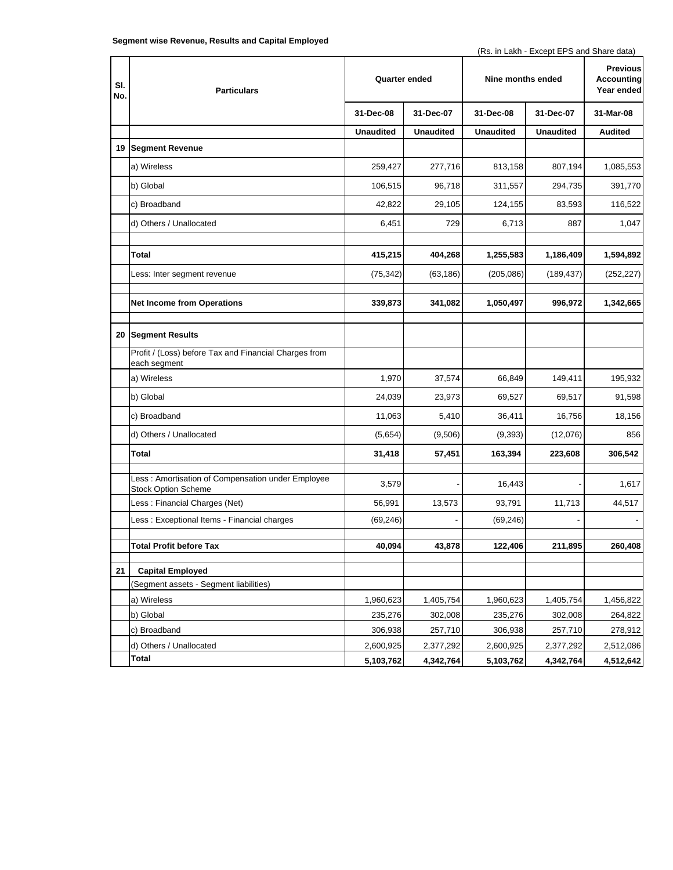(Rs. in Lakh - Except EPS and Share data)

| SI.<br>No. | <b>Particulars</b>                                                              | <b>Quarter ended</b> |                  | Nine months ended |                  | <b>Previous</b><br>Accounting<br>Year ended |
|------------|---------------------------------------------------------------------------------|----------------------|------------------|-------------------|------------------|---------------------------------------------|
|            |                                                                                 | 31-Dec-08            | 31-Dec-07        | 31-Dec-08         | 31-Dec-07        | 31-Mar-08                                   |
|            |                                                                                 | <b>Unaudited</b>     | <b>Unaudited</b> | <b>Unaudited</b>  | <b>Unaudited</b> | <b>Audited</b>                              |
|            | 19 Segment Revenue                                                              |                      |                  |                   |                  |                                             |
|            | a) Wireless                                                                     | 259,427              | 277,716          | 813,158           | 807,194          | 1,085,553                                   |
|            | b) Global                                                                       | 106,515              | 96,718           | 311,557           | 294,735          | 391,770                                     |
|            | c) Broadband                                                                    | 42,822               | 29,105           | 124,155           | 83,593           | 116,522                                     |
|            | d) Others / Unallocated                                                         | 6,451                | 729              | 6,713             | 887              | 1,047                                       |
|            |                                                                                 |                      |                  |                   |                  |                                             |
|            | Total                                                                           | 415,215              | 404,268          | 1,255,583         | 1,186,409        | 1,594,892                                   |
|            | Less: Inter segment revenue                                                     | (75, 342)            | (63, 186)        | (205, 086)        | (189, 437)       | (252, 227)                                  |
|            | <b>Net Income from Operations</b>                                               | 339,873              | 341,082          | 1,050,497         | 996,972          | 1,342,665                                   |
|            |                                                                                 |                      |                  |                   |                  |                                             |
|            | 20 Segment Results                                                              |                      |                  |                   |                  |                                             |
|            | Profit / (Loss) before Tax and Financial Charges from<br>each segment           |                      |                  |                   |                  |                                             |
|            | a) Wireless                                                                     | 1,970                | 37,574           | 66,849            | 149,411          | 195,932                                     |
|            | b) Global                                                                       | 24,039               | 23,973           | 69,527            | 69,517           | 91,598                                      |
|            | c) Broadband                                                                    | 11,063               | 5,410            | 36,411            | 16,756           | 18,156                                      |
|            | d) Others / Unallocated                                                         | (5,654)              | (9,506)          | (9,393)           | (12,076)         | 856                                         |
|            | <b>Total</b>                                                                    | 31,418               | 57,451           | 163,394           | 223,608          | 306,542                                     |
|            | Less: Amortisation of Compensation under Employee<br><b>Stock Option Scheme</b> | 3,579                |                  | 16,443            |                  | 1,617                                       |
|            | Less: Financial Charges (Net)                                                   | 56,991               | 13,573           | 93,791            | 11,713           | 44,517                                      |
|            | Less: Exceptional Items - Financial charges                                     | (69, 246)            |                  | (69, 246)         |                  |                                             |
|            | <b>Total Profit before Tax</b>                                                  | 40,094               | 43,878           | 122,406           | 211,895          | 260,408                                     |
|            |                                                                                 |                      |                  |                   |                  |                                             |
| 21         | <b>Capital Employed</b>                                                         |                      |                  |                   |                  |                                             |
|            | (Segment assets - Segment liabilities)                                          |                      |                  |                   |                  |                                             |
|            | a) Wireless                                                                     | 1,960,623            | 1,405,754        | 1,960,623         | 1,405,754        | 1,456,822                                   |
|            | b) Global                                                                       | 235,276              | 302,008          | 235,276           | 302,008          | 264,822                                     |
|            | c) Broadband                                                                    | 306,938              | 257,710          | 306,938           | 257,710          | 278,912                                     |
|            | d) Others / Unallocated                                                         | 2,600,925            | 2,377,292        | 2,600,925         | 2,377,292        | 2,512,086                                   |
|            | Total                                                                           | 5,103,762            | 4,342,764        | 5,103,762         | 4,342,764        | 4,512,642                                   |